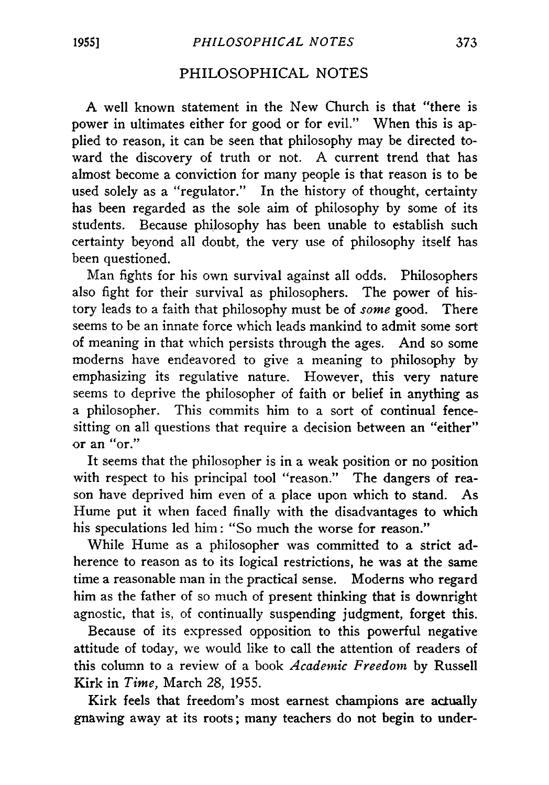## PHILOSOPHICAL NOTES

A well known statement in the New Church is that " there is power in ultimates either for good or for evil." When this is applied to reason, it can be seen that philosophy may be directed toward the discovery of truth or not. A current trend that has almost become a conviction for many people is that reason is to be used solely as a "regulator." In the history of thought, certainty has been regarded as the sole aim of philosophy by some of its students. Because philosophy has been unable to establish such certainty beyond all doubt, the very use of philosophy itself has been questioned.

Man fights for his own survival against all odds. Philosophers also fight for their survival as philosophers. The power of history leads to a faith that philosophy must be of *some* good. There seems to be an innate force which leads mankind to admit some sort of meaning in that which persists through the ages. And so some moderns have endeavored to give a meaning to philosophy by emphasizing its regulative nature. However, this very nature seems to deprive the philosopher of faith or belief in anything as a philosopher. This commits him to a sort of continual fencesitting on all questions that require a decision between an "either" or an "or."

It seems that the philosopher is in a weak position or no position with respect to his principal tool "reason." The dangers of reason have deprived him even of a place upon which to stand. As Hume put it when faced finally with the disadvantages to which his speculations led him: "So much the worse for reason."

While Hume as a philosopher was committed to a strict adherence to reason as to its logical restrictions, he was at the same time a reasonable man in the practical sense. Moderns who regard him as the father of so much of present thinking that is downright agnostic, that is, of continually suspending judgment, forget this.

Because of its expressed opposition to this powerful negative attitude of today, we would like to call the attention of readers of this column to a review of a book *Academic Freedom* by Russell Kirk in *Time,* March 28, 1955.

Kirk feels that freedom's most earnest champions are actually gnawing away at its roots; many teachers do not begin to under